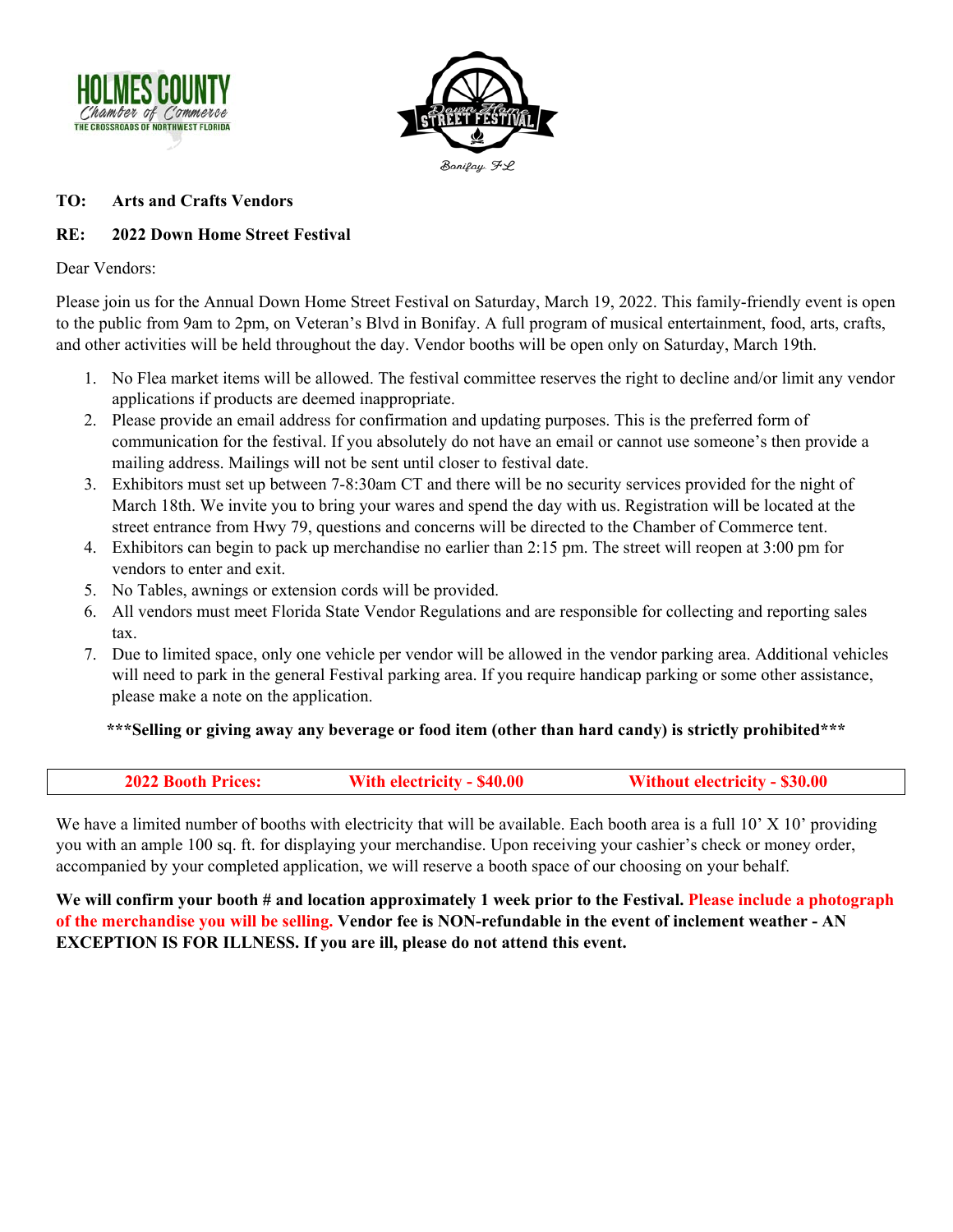



#### **TO: Arts and Crafts Vendors**

### **RE: 2022 Down Home Street Festival**

Dear Vendors:

Please join us for the Annual Down Home Street Festival on Saturday, March 19, 2022. This family-friendly event is open to the public from 9am to 2pm, on Veteran's Blvd in Bonifay. A full program of musical entertainment, food, arts, crafts, and other activities will be held throughout the day. Vendor booths will be open only on Saturday, March 19th.

- 1. No Flea market items will be allowed. The festival committee reserves the right to decline and/or limit any vendor applications if products are deemed inappropriate.
- 2. Please provide an email address for confirmation and updating purposes. This is the preferred form of communication for the festival. If you absolutely do not have an email or cannot use someone's then provide a mailing address. Mailings will not be sent until closer to festival date.
- 3. Exhibitors must set up between 7-8:30am CT and there will be no security services provided for the night of March 18th. We invite you to bring your wares and spend the day with us. Registration will be located at the street entrance from Hwy 79, questions and concerns will be directed to the Chamber of Commerce tent.
- 4. Exhibitors can begin to pack up merchandise no earlier than 2:15 pm. The street will reopen at 3:00 pm for vendors to enter and exit.
- 5. No Tables, awnings or extension cords will be provided.
- 6. All vendors must meet Florida State Vendor Regulations and are responsible for collecting and reporting sales tax.
- 7. Due to limited space, only one vehicle per vendor will be allowed in the vendor parking area. Additional vehicles will need to park in the general Festival parking area. If you require handicap parking or some other assistance, please make a note on the application.

**\*\*\*Selling or giving away any beverage or food item (other than hard candy) is strictly prohibited\*\*\*** 

| <b>2022 Booth Prices:</b> | With electricity - \$40.00 | <b>Without electricity - \$30.00</b> |
|---------------------------|----------------------------|--------------------------------------|
|                           |                            |                                      |

We have a limited number of booths with electricity that will be available. Each booth area is a full  $10'$   $X$   $10'$  providing you with an ample 100 sq. ft. for displaying your merchandise. Upon receiving your cashier's check or money order, accompanied by your completed application, we will reserve a booth space of our choosing on your behalf.

**We will confirm your booth # and location approximately 1 week prior to the Festival. Please include a photograph of the merchandise you will be selling. Vendor fee is NON-refundable in the event of inclement weather - AN EXCEPTION IS FOR ILLNESS. If you are ill, please do not attend this event.**